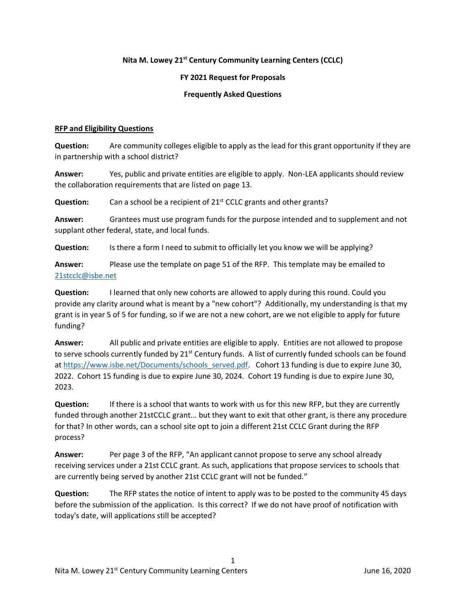## **Nita M. Lowey 21st Century Community Learning Centers (CCLC)**

## **FY 2021 Request for Proposals**

### **Frequently Asked Questions**

#### **RFP and Eligibility Questions**

**Question:** Are community colleges eligible to apply as the lead for this grant opportunity if they are in partnership with a school district?

**Answer:** Yes, public and private entities are eligible to apply. Non-LEA applicants should review the collaboration requirements that are listed on page 13.

**Question:** Can a school be a recipient of 21<sup>st</sup> CCLC grants and other grants?

**Answer:** Grantees must use program funds for the purpose intended and to supplement and not supplant other federal, state, and local funds.

**Question:** Is there a form I need to submit to officially let you know we will be applying?

**Answer:** Please use the template on page 51 of the RFP. This template may be emailed to [21stcclc@isbe.net](mailto:21stcclc@isbe.net)

**Question:** I learned that only new cohorts are allowed to apply during this round. Could you provide any clarity around what is meant by a "new cohort"? Additionally, my understanding is that my grant is in year 5 of 5 for funding, so if we are not a new cohort, are we not eligible to apply for future funding?

**Answer:** All public and private entities are eligible to apply. Entities are not allowed to propose to serve schools currently funded by  $21^{st}$  Century funds. A list of currently funded schools can be found a[t https://www.isbe.net/Documents/schools\\_served.pdf.](https://www.isbe.net/Documents/schools_served.pdf) Cohort 13 funding is due to expire June 30, 2022. Cohort 15 funding is due to expire June 30, 2024. Cohort 19 funding is due to expire June 30, 2023.

**Question:** If there is a school that wants to work with us for this new RFP, but they are currently funded through another 21stCCLC grant... but they want to exit that other grant, is there any procedure for that? In other words, can a school site opt to join a different 21st CCLC Grant during the RFP process?

**Answer:** Per page 3 of the RFP, "An applicant cannot propose to serve any school already receiving services under a 21st CCLC grant. As such, applications that propose services to schools that are currently being served by another 21st CCLC grant will not be funded."

**Question:** The RFP states the notice of intent to apply was to be posted to the community 45 days before the submission of the application. Is this correct? If we do not have proof of notification with today's date, will applications still be accepted?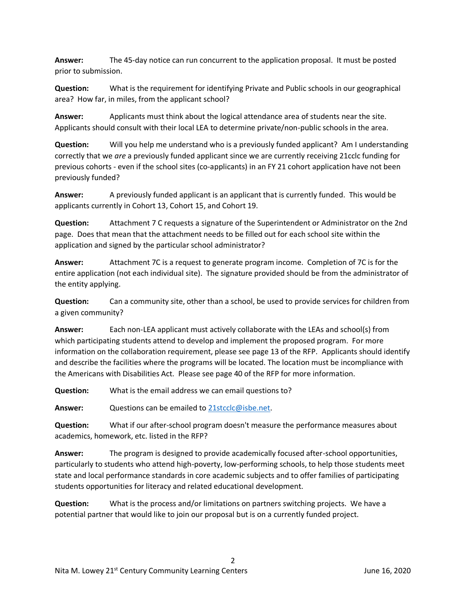**Answer:** The 45-day notice can run concurrent to the application proposal. It must be posted prior to submission.

**Question:** What is the requirement for identifying Private and Public schools in our geographical area? How far, in miles, from the applicant school?

**Answer:** Applicants must think about the logical attendance area of students near the site. Applicants should consult with their local LEA to determine private/non-public schools in the area.

**Question:** Will you help me understand who is a previously funded applicant? Am I understanding correctly that we *are* a previously funded applicant since we are currently receiving 21cclc funding for previous cohorts - even if the school sites (co-applicants) in an FY 21 cohort application have not been previously funded?

**Answer:** A previously funded applicant is an applicant that is currently funded. This would be applicants currently in Cohort 13, Cohort 15, and Cohort 19.

**Question:** Attachment 7 C requests a signature of the Superintendent or Administrator on the 2nd page. Does that mean that the attachment needs to be filled out for each school site within the application and signed by the particular school administrator?

**Answer:** Attachment 7C is a request to generate program income. Completion of 7C is for the entire application (not each individual site). The signature provided should be from the administrator of the entity applying.

**Question:** Can a community site, other than a school, be used to provide services for children from a given community?

**Answer:** Each non-LEA applicant must actively collaborate with the LEAs and school(s) from which participating students attend to develop and implement the proposed program. For more information on the collaboration requirement, please see page 13 of the RFP. Applicants should identify and describe the facilities where the programs will be located. The location must be incompliance with the Americans with Disabilities Act. Please see page 40 of the RFP for more information.

**Question:** What is the email address we can email questions to?

**Answer:** Questions can be emailed to [21stcclc@isbe.net.](21stcclc@isbe.net)

**Question:** What if our after-school program doesn't measure the performance measures about academics, homework, etc. listed in the RFP?

**Answer:** The program is designed to provide academically focused after-school opportunities, particularly to students who attend high-poverty, low-performing schools, to help those students meet state and local performance standards in core academic subjects and to offer families of participating students opportunities for literacy and related educational development.

**Question:** What is the process and/or limitations on partners switching projects. We have a potential partner that would like to join our proposal but is on a currently funded project.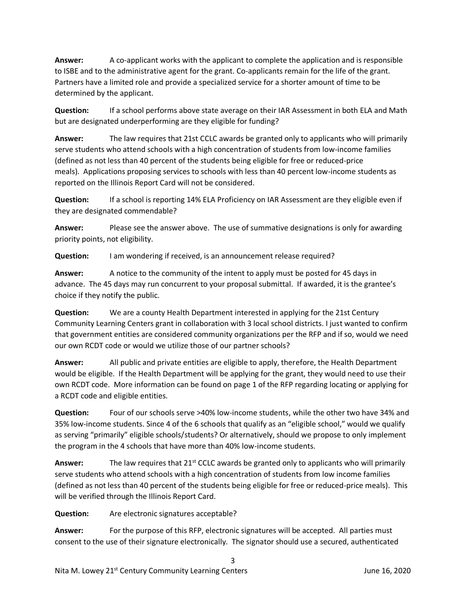**Answer:** A co-applicant works with the applicant to complete the application and is responsible to ISBE and to the administrative agent for the grant. Co-applicants remain for the life of the grant. Partners have a limited role and provide a specialized service for a shorter amount of time to be determined by the applicant.

**Question:** If a school performs above state average on their IAR Assessment in both ELA and Math but are designated underperforming are they eligible for funding?

**Answer:** The law requires that 21st CCLC awards be granted only to applicants who will primarily serve students who attend schools with a high concentration of students from low-income families (defined as not less than 40 percent of the students being eligible for free or reduced-price meals). Applications proposing services to schools with less than 40 percent low-income students as reported on the Illinois Report Card will not be considered.

**Question:** If a school is reporting 14% ELA Proficiency on IAR Assessment are they eligible even if they are designated commendable?

**Answer:** Please see the answer above. The use of summative designations is only for awarding priority points, not eligibility.

**Question:** I am wondering if received, is an announcement release required?

**Answer:** A notice to the community of the intent to apply must be posted for 45 days in advance. The 45 days may run concurrent to your proposal submittal. If awarded, it is the grantee's choice if they notify the public.

**Question:** We are a county Health Department interested in applying for the 21st Century Community Learning Centers grant in collaboration with 3 local school districts. I just wanted to confirm that government entities are considered community organizations per the RFP and if so, would we need our own RCDT code or would we utilize those of our partner schools?

**Answer:** All public and private entities are eligible to apply, therefore, the Health Department would be eligible. If the Health Department will be applying for the grant, they would need to use their own RCDT code. More information can be found on page 1 of the RFP regarding locating or applying for a RCDT code and eligible entities.

**Question:** Four of our schools serve >40% low-income students, while the other two have 34% and 35% low-income students. Since 4 of the 6 schools that qualify as an "eligible school," would we qualify as serving "primarily" eligible schools/students? Or alternatively, should we propose to only implement the program in the 4 schools that have more than 40% low-income students.

Answer: The law requires that 21<sup>st</sup> CCLC awards be granted only to applicants who will primarily serve students who attend schools with a high concentration of students from low income families (defined as not less than 40 percent of the students being eligible for free or reduced-price meals). This will be verified through the Illinois Report Card.

**Question:** Are electronic signatures acceptable?

**Answer:** For the purpose of this RFP, electronic signatures will be accepted. All parties must consent to the use of their signature electronically. The signator should use a secured, authenticated

3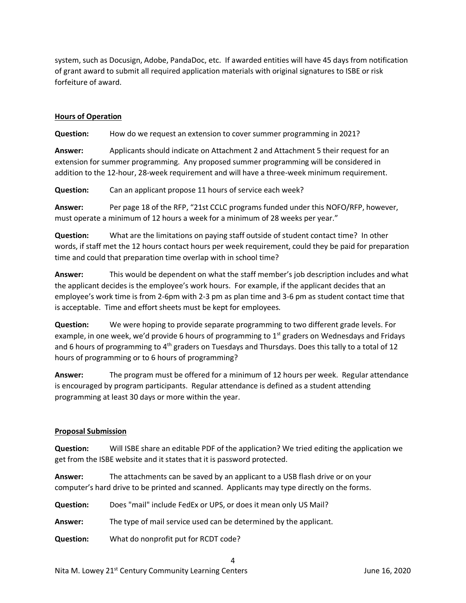system, such as Docusign, Adobe, PandaDoc, etc. If awarded entities will have 45 days from notification of grant award to submit all required application materials with original signatures to ISBE or risk forfeiture of award.

### **Hours of Operation**

**Question:** How do we request an extension to cover summer programming in 2021?

**Answer:** Applicants should indicate on Attachment 2 and Attachment 5 their request for an extension for summer programming. Any proposed summer programming will be considered in addition to the 12-hour, 28-week requirement and will have a three-week minimum requirement.

**Question:** Can an applicant propose 11 hours of service each week?

**Answer:** Per page 18 of the RFP, "21st CCLC programs funded under this NOFO/RFP, however, must operate a minimum of 12 hours a week for a minimum of 28 weeks per year."

**Question:** What are the limitations on paying staff outside of student contact time? In other words, if staff met the 12 hours contact hours per week requirement, could they be paid for preparation time and could that preparation time overlap with in school time?

**Answer:** This would be dependent on what the staff member's job description includes and what the applicant decides is the employee's work hours. For example, if the applicant decides that an employee's work time is from 2-6pm with 2-3 pm as plan time and 3-6 pm as student contact time that is acceptable. Time and effort sheets must be kept for employees.

**Question:** We were hoping to provide separate programming to two different grade levels. For example, in one week, we'd provide 6 hours of programming to  $1<sup>st</sup>$  graders on Wednesdays and Fridays and 6 hours of programming to  $4<sup>th</sup>$  graders on Tuesdays and Thursdays. Does this tally to a total of 12 hours of programming or to 6 hours of programming?

**Answer:** The program must be offered for a minimum of 12 hours per week. Regular attendance is encouraged by program participants. Regular attendance is defined as a student attending programming at least 30 days or more within the year.

### **Proposal Submission**

**Question:** Will ISBE share an editable PDF of the application? We tried editing the application we get from the ISBE website and it states that it is password protected.

4

**Answer:** The attachments can be saved by an applicant to a USB flash drive or on your computer's hard drive to be printed and scanned. Applicants may type directly on the forms.

**Question:** Does "mail" include FedEx or UPS, or does it mean only US Mail?

**Answer:** The type of mail service used can be determined by the applicant.

**Question:** What do nonprofit put for RCDT code?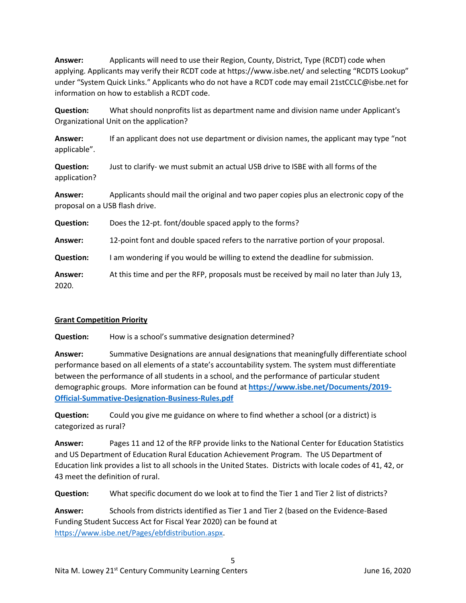**Answer:** Applicants will need to use their Region, County, District, Type (RCDT) code when applying. Applicants may verify their RCDT code at https://www.isbe.net/ and selecting "RCDTS Lookup" under "System Quick Links." Applicants who do not have a RCDT code may email 21stCCLC@isbe.net for information on how to establish a RCDT code.

**Question:** What should nonprofits list as department name and division name under Applicant's Organizational Unit on the application?

**Answer:** If an applicant does not use department or division names, the applicant may type "not applicable".

**Question:** Just to clarify- we must submit an actual USB drive to ISBE with all forms of the application?

**Answer:** Applicants should mail the original and two paper copies plus an electronic copy of the proposal on a USB flash drive.

**Question:** Does the 12-pt. font/double spaced apply to the forms?

**Answer:** 12-point font and double spaced refers to the narrative portion of your proposal.

**Question:** I am wondering if you would be willing to extend the deadline for submission.

**Answer:** At this time and per the RFP, proposals must be received by mail no later than July 13, 2020.

### **Grant Competition Priority**

**Question:** How is a school's summative designation determined?

**Answer:** Summative Designations are annual designations that meaningfully differentiate school performance based on all elements of a state's accountability system. The system must differentiate between the performance of all students in a school, and the performance of particular student demographic groups. More information can be found at **[https://www.isbe.net/Documents/2019-](https://www.isbe.net/Documents/2019-Official-Summative-Designation-Business-Rules.pdf) [Official-Summative-Designation-Business-Rules.pdf](https://www.isbe.net/Documents/2019-Official-Summative-Designation-Business-Rules.pdf)**

**Question:** Could you give me guidance on where to find whether a school (or a district) is categorized as rural?

**Answer:** Pages 11 and 12 of the RFP provide links to the National Center for Education Statistics and US Department of Education Rural Education Achievement Program. The US Department of Education link provides a list to all schools in the United States. Districts with locale codes of 41, 42, or 43 meet the definition of rural.

**Question:** What specific document do we look at to find the Tier 1 and Tier 2 list of districts?

**Answer:** Schools from districts identified as Tier 1 and Tier 2 (based on the Evidence-Based Funding Student Success Act for Fiscal Year 2020) can be found at [https://www.isbe.net/Pages/ebfdistribution.aspx.](https://www.isbe.net/Pages/ebfdistribution.aspx)